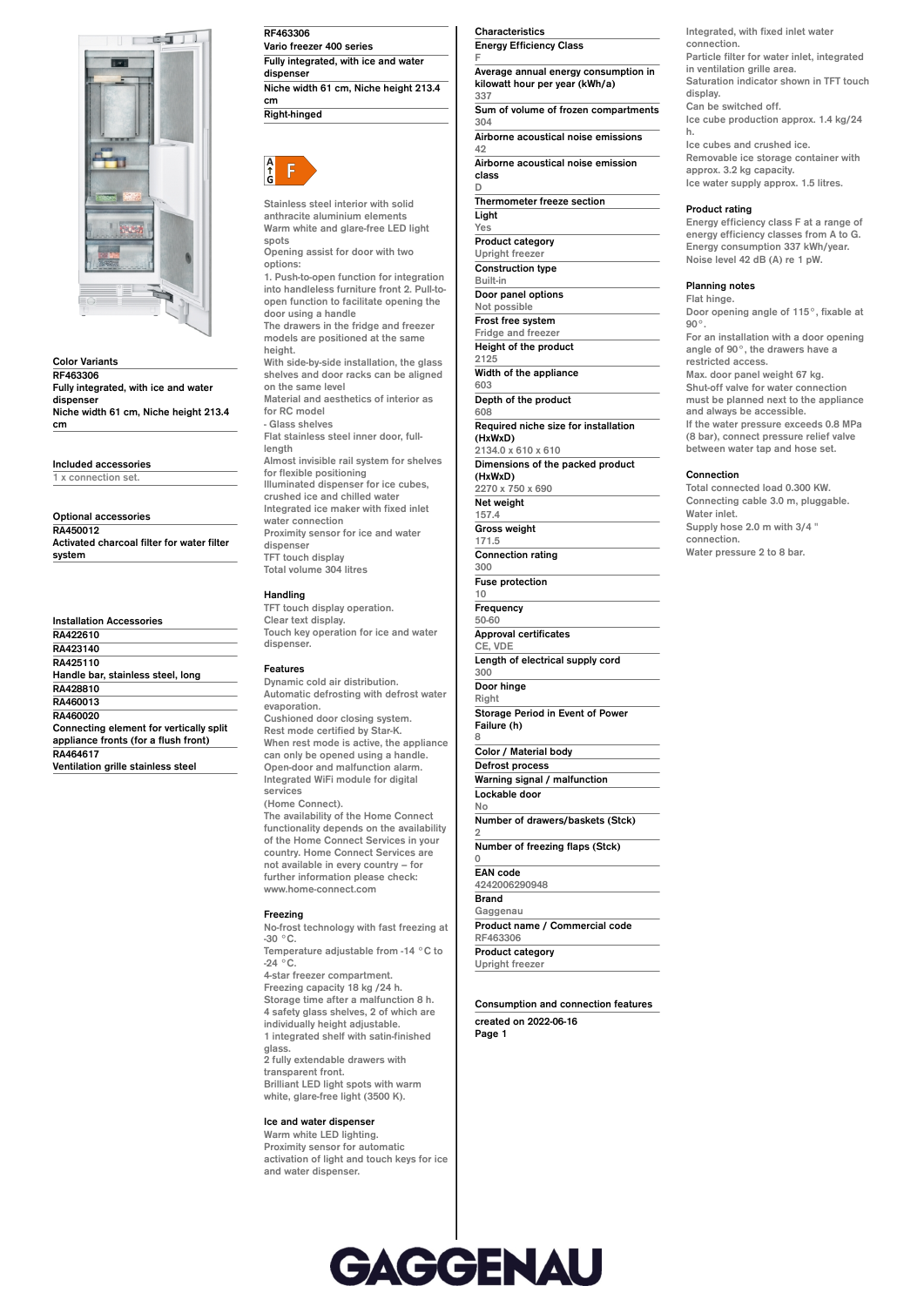

**Color Variants RF463306 Fully integrated, with ice and water dispenser Niche width 61 cm, Niche height 213.4 cm**

**Included accessories**

**1 x connection set.**

**Optional accessories RA450012 Activated charcoal filter for water filter system**

|                 | <b>Installation Accessories</b>         |
|-----------------|-----------------------------------------|
| <b>RA422610</b> |                                         |
| RA423140        |                                         |
| RA425110        |                                         |
|                 | Handle bar, stainless steel, long       |
| RA428810        |                                         |
| RA460013        |                                         |
| RA460020        |                                         |
|                 | Connecting element for vertically split |
|                 | appliance fronts (for a flush front)    |
| RA464617        |                                         |
|                 | Ventilation arille etainless steel      |

**Ventilation grille stainless steel**

**RF463306 Vario freezer 400 series Fully integrated, with ice and water** dispense<sup>1</sup> **Niche width 61 cm, Niche height 213.4 cm**

**Right-hinged**



**Stainless steel interior with solid anthracite aluminium elements Warm white and glare-free LED light spots Opening assist for door with two options: 1. Push-to-open function for integration into handleless furniture front 2. Pull-toopen function to facilitate opening the door using a handle The drawers in the fridge and freezer models are positioned at the same height. With side-by-side installation, the glass shelves and door racks can be aligned on the same level Material and aesthetics of interior as for RC model - Glass shelves Flat stainless steel inner door, fulllength Almost invisible rail system for shelves for flexible positioning Illuminated dispenser for ice cubes, crushed ice and chilled water Integrated ice maker with fixed inlet water connection Proximity sensor for ice and water dispenser TFT touch display Total volume 304 litres**

# **Handling**

**TFT touch display operation. Clear text display. Touch key operation for ice and water dispenser.**

#### **Features**

**Dynamic cold air distribution. Automatic defrosting with defrost water evaporation. Cushioned door closing system. Rest mode certified by Star-K. When rest mode is active, the appliance can only be opened using a handle. Open-door and malfunction alarm. Integrated WiFi module for digital services**

## **(Home Connect).**

**The availability of the Home Connect functionality depends on the availability of the Home Connect Services in your country. Home Connect Services are not available in every country – for further information please check: www.home-connect.com**

### **Freezing**

**No-frost technology with fast freezing at -30 °C. Temperature adjustable from -14 °C to -24 °C. 4-star freezer compartment. Freezing capacity 18 kg /24 h. Storage time after a malfunction 8 h. 4 safety glass shelves, 2 of which are individually height adjustable. 1 integrated shelf with satin-finished glass. 2 fully extendable drawers with transparent front. Brilliant LED light spots with warm**

**white, glare-free light (3500 K).**

# **Ice and water dispenser**

**Warm white LED lighting. Proximity sensor for automatic activation of light and touch keys for ice and water dispenser.**

**Characteristics Energy Efficiency Class**

**F Average annual energy consumption in kilowatt hour per year (kWh/a) 337 Sum of volume of frozen compartments**

**304 Airborne acoustical noise emissions**

**42 Airborne acoustical noise emission**

**class**

**D Thermometer freeze section**

**Light Yes Product category Upright freezer Construction type Built-in Door panel options Not possible Frost free system Fridge and freezer Height of the product 2125 Width of the appliance 603 Depth of the product 608 Required niche size for installation (HxWxD) 2134.0 x 610 x 610 Dimensions of the packed product (HxWxD) 2270 x 750 x 690 Net weight 157.4 Gross weight 171.5 Connection rating 300 Fuse protection 10 Frequency 50-60 Approval certificates CE, VDE Length of electrical supply cord 300 Door hinge Right Storage Period in Event of Power Failure (h) Color / Material body Defrost process Warning signal / malfunction Lockable door No Number of drawers/baskets (Stck) Number of freezing flaps (Stck) EAN code 4242006290948 Brand Gaggenau Product name / Commercial code RF463306**

**Consumption and connection features created on 2022-06-16 Page 1**

**Integrated, with fixed inlet water connection. Particle filter for water inlet, integrated in ventilation grille area. Saturation indicator shown in TFT touch display. Can be switched off. Ice cube production approx. 1.4 kg/24 h.**

**Ice cubes and crushed ice. Removable ice storage container with approx. 3.2 kg capacity. Ice water supply approx. 1.5 litres.**

#### **Product rating**

**Energy efficiency class F at a range of energy efficiency classes from A to G. Energy consumption 337 kWh/year. Noise level 42 dB (A) re 1 pW.**

## **Planning notes**

**Flat hinge. Door opening angle of 115°, fixable at 90°. For an installation with a door opening angle of 90°, the drawers have a restricted access. Max. door panel weight 67 kg. Shut-off valve for water connection must be planned next to the appliance and always be accessible. If the water pressure exceeds 0.8 MPa (8 bar), connect pressure relief valve between water tap and hose set.**

#### **Connection**

**Total connected load 0.300 KW. Connecting cable 3.0 m, pluggable. Water inlet. Supply hose 2.0 m with 3/4 " connection. Water pressure 2 to 8 bar.**



**8**

**2**

**0**

**Product category Upright freezer**